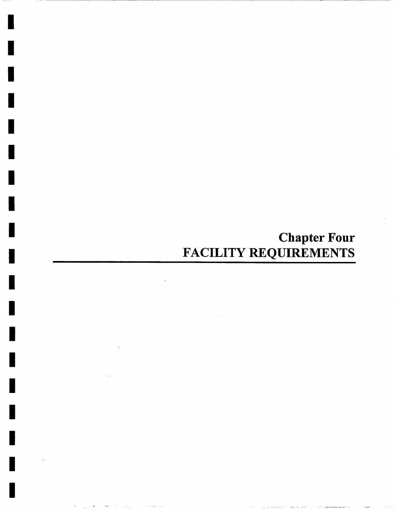# **Chapter Four**  FACILITY REQUIREMENTS

I

I

**I** 

I

I

**I** 

I

**I** 

**I** 

**I** 

I

I

I

I

I

I

I

I

**I**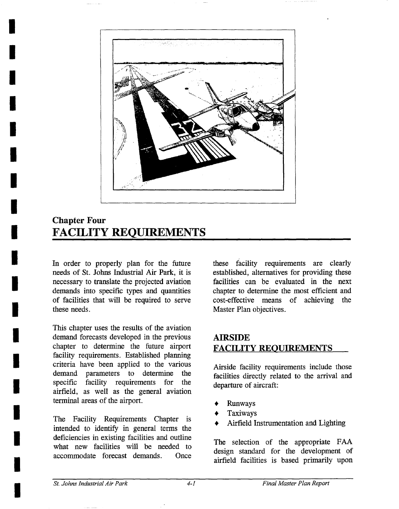

## **Chapter Four FACILITY REQUIREMENTS**

**I** 

**I** 

**I** 

**I** 

**I** 

**I** 

**I** 

**I** 

**I** 

**I** 

**I** 

**!** 

**I** 

**I** 

**I** 

**I** 

**I** 

**I** 

In order to properly plan for the future needs of St. Johns Industrial Air Park, it is necessary to translate the projected aviation demands into specific types and quantities of facilities that will be required to serve these needs.

This chapter uses the results of the aviation demand forecasts developed in the previous chapter to determine the future airport facility requirements. Established planning criteria have been applied to the various demand parameters to determine the specific facility requirements for the airfield, as well as the general aviation terminal areas of the airport.

The Facility Requirements Chapter is intended to identify in general terms the deficiencies in existing facilities and outline what new facilities will be needed to accommodate forecast demands. Once

these facility requirements are clearly established, alternatives for providing these facilities can be evaluated in the next chapter to determine the most efficient and cost-effective means of achieving the Master Plan objectives.

## **ATRSIDE**  FACILITY REQUIREMENTS

Airside facility requirements include those facilities directly related to the arrival and departure of aircraft:

- **\*** Runways
- , Taxiways
- Airfield Instrumentation and Lighting

The selection of the appropriate FAA design standard for the development of airfield facilities is based primarily upon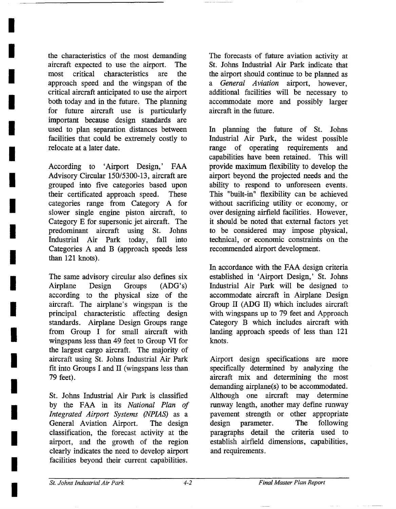the characteristics of the most demanding aircraft expected to use the airport. The most critical characteristics are the approach speed and the wingspan of the critical aircraft anticipated to use the airport both today and in the future. The planning for future aircraft use is particularly important because design standards are used to plan separation distances between facilities that could be extremely costly to relocate at a later date.

**I** 

**I** 

**I** 

**I** 

**I** 

**I** 

**I** 

**I** 

**I** 

**I** 

**I** 

**I** 

**I** 

**I** 

**I** 

**I** 

**I** 

**I** 

**I** 

According to 'Airport Design,' FAA Advisory Circular 150/5300-13, aircraft are grouped into five categories based upon their certificated approach speed. These categories range from Category A for slower single engine piston aircraft, to Category E for supersonic jet aircraft. The predominant aircraft using St. Johns Industrial Air Park today, fall into Categories A and B (approach speeds less than 121 knots).

The same advisory circular also defines six Airplane Design Groups (ADG's) according to the physical size of the aircraft. The airplane's wingspan is the principal characteristic affecting design standards. Airplane Design Groups range from Group I for small aircraft with wingspans less than 49 feet to Group VI for the largest cargo aircraft. The majority of aircraft using St. Johns Industrial Air Park fit into Groups I and II (wingspans less than 79 feet).

St. Johns Industrial Air Park is classified by the FAA in its *National Plan of Integrated Airport Systems (NPIAS)* as a General Aviation Airport. The design classification, the forecast activity at the airport, and the growth of the region clearly indicates the need to develop airport facilities beyond their current capabilities.

The forecasts of future aviation activity at St. Johns Industrial Air Park indicate that the airport should continue to be planned as *a General Aviation* airport, however, additional facilities will be necessary to accommodate more and possibly larger aircraft in the future.

In planning the future of St. Johns Industrial Air Park, the widest possible range of operating requirements and capabilities have been retained. This will provide maximum flexibility to develop the airport beyond the projected needs and the ability to respond to unforeseen events. This "built-in" flexibility can be achieved without sacrificing utility or economy, or over designing airfield facilities. However, it should be noted that external factors yet to be considered may impose physical, technical, or economic constraints on the recommended airport development.

In accordance with the FAA design criteria established in 'Airport Design,' St. Johns Industrial Air Park will be designed to accommodate aircraft in Airplane Design Group II (ADG II) which includes aircraft with wingspans up to 79 feet and Approach Category B which includes aircraft with landing approach speeds of less than 121 knots.

Airport design specifications are more specifically determined by analyzing the aircraft mix and determining the most demanding airplane(s) to be accommodated. Although one aircraft may determine runway length, another may define runway pavement strength or other appropriate design parameter. The following paragraphs detail the criteria used to establish airfield dimensions, capabilities, and requirements.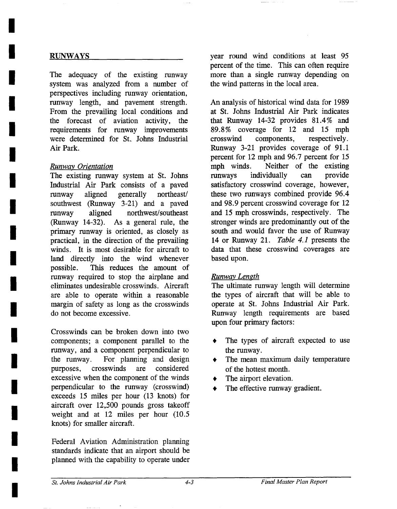#### RUNWAYS

**I** 

**I** 

**I** 

**I** 

**I** 

**I** 

**I** 

**I** 

**I** 

**I** 

**I** 

**I** 

**I** 

**I** 

**I** 

**I** 

**I** 

**I** 

**I** 

The adequacy of the existing runway system was analyzed from a number of perspectives including runway orientation, runway length, and pavement strength. From the prevailing local conditions and the forecast of aviation activity, the requirements for runway improvements were determined for St. Johns Industrial Air Park.

#### *Runway\_ Orientation*

The existing runway system at St. Johns Industrial Air Park consists of a paved runway aligned generally northeast/ southwest (Runway 3-21) and a paved runway aligned northwest/southeast (Runway 14-32). As a general rule, the primary runway is oriented, as closely as practical, in the direction of the prevailing winds. It is most desirable for aircraft to land directly into the wind whenever possible. This reduces the amount of runway required to stop the airplane and eliminates undesirable crosswinds. Aircraft are able to operate within a reasonable margin of safety as long as the crosswinds do not become excessive.

Crosswinds can be broken down into two components; a component parallel to the runway, and a component perpendicular to the runway. For planning and design purposes, crosswinds are considered excessive when the component of the winds perpendicular to the runway (crosswind) exceeds 15 miles per hour (13 knots) for aircraft over 12,500 pounds gross takeoff weight and at 12 miles per hour (10.5 knots) for smaller aircraft.

Federal Aviation Administration planning standards indicate that an airport should be planned with the capability to operate under year round wind conditions at least 95 percent of the time. This can often require more than a single runway depending on the wind patterns in the local area.

An analysis of historical wind data for 1989 at St. Johns Industrial Air Park indicates that Runway 14-32 provides 81.4% and 89.8% coverage for 12 and 15 mph crosswind components, respectively. Runway 3-21 provides coverage of 91.1 percent for 12 mph and 96.7 percent for 15 mph winds. Neither of the existing runways individually can provide satisfactory crosswind coverage, however, these two runways combined provide 96.4 and 98.9 percent crosswind coverage for 12 and 15 mph crosswinds, respectively. The stronger winds are predominantly out of the south and would favor the use of Runway 14 or Runway 21. *Table 4.1* presents the data that these crosswind coverages are based upon.

#### *Runway Length*

The ultimate runway length will determine the types of aircraft that will be able to operate at St. Johns Industrial Air Park. Runway length requirements are based upon four primary factors:

- The types of aircraft expected to use the runway.
- The mean maximum daily temperature of the hottest month.
- The airport elevation.
- The effective runway gradient.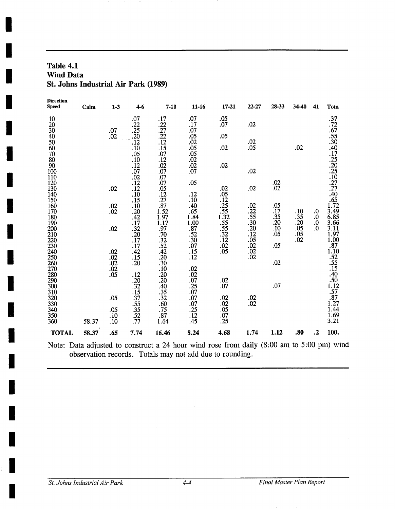#### **Table 4.1 Wind Data St. Johns Industrial Air Park (1989)**

| <b>Direction</b><br><b>Speed</b> | Calm  | $1 - 3$      | $4-6$                                | $7 - 10$                                  | $11 - 16$          | 17-21             | 22-27                                                                | 28-33      | 34-40      | 41       | Tota                                                                                            |
|----------------------------------|-------|--------------|--------------------------------------|-------------------------------------------|--------------------|-------------------|----------------------------------------------------------------------|------------|------------|----------|-------------------------------------------------------------------------------------------------|
| 10<br>20                         |       |              | .07<br>.22                           | .17                                       | .07<br>.17         | .05<br>.07        | .02                                                                  |            |            |          | 37<br>72<br>55<br>30<br>40<br>75<br>30<br>40<br>72<br>20<br>5<br>0<br>7<br>7<br>4<br>6<br>5<br> |
| 30                               |       | .07          | 25                                   | $\frac{.22}{.27}$                         | .07                |                   |                                                                      |            |            |          |                                                                                                 |
| 40                               |       | .02          | 20                                   | $\frac{22}{12}$                           | .05                | .05               |                                                                      |            |            |          |                                                                                                 |
| 50<br>60                         |       |              | $\overline{.12}$<br>$\overline{.10}$ | $\overline{.15}$                          | .02<br>.05         | .02               | .02<br>.05                                                           |            | .02        |          |                                                                                                 |
| 70                               |       |              | .05                                  | $.07$<br>$.12$                            | .05                |                   |                                                                      |            |            |          |                                                                                                 |
| 80                               |       |              | $\overline{.10}$                     |                                           | .02                |                   |                                                                      |            |            |          |                                                                                                 |
| 90<br>100                        |       |              | .12<br>.07                           | .02<br>.07                                | .02<br>.07         | .02               | .02                                                                  |            |            |          |                                                                                                 |
| 110                              |       |              | .02                                  | .07                                       |                    |                   |                                                                      |            |            |          |                                                                                                 |
| 120                              |       |              | $\overline{.12}$                     | $\frac{07}{05}$                           | .05                |                   |                                                                      | .02        |            |          |                                                                                                 |
| 130<br>140                       |       | .02          | .12                                  |                                           | .12                | .02<br>.05        | .02                                                                  | .02        |            |          |                                                                                                 |
| 150                              |       |              | .10<br>.15                           | $\frac{12}{27}$                           | .10                | $\overline{12}$   |                                                                      |            |            |          |                                                                                                 |
| 160                              |       | .02          | .10                                  | .87                                       | .40.65             | .25               | .02                                                                  | .05        |            |          |                                                                                                 |
| 170                              |       | .02          | .20                                  | 1.52                                      |                    | $\frac{.55}{.32}$ | .22                                                                  | .17        | .10<br>.35 | .0       | 3.49<br>6.85                                                                                    |
| 180<br>190                       |       |              | .42<br>.17                           | $\frac{1.97}{1.17}$<br>$.97$              | 1.84               |                   | $.55$<br>$.30$<br>$.20$<br>$.12$<br>$.05$<br>$.02$<br>$.02$<br>$.02$ | .35<br>.20 | .20        | .0<br>0. | 3.66                                                                                            |
| 200                              |       | .02          | .32                                  |                                           | $\frac{1.00}{.87}$ | $\frac{.55}{.55}$ |                                                                      | .10        | .05        | $\Omega$ | 3.11                                                                                            |
| 210                              |       |              | .20                                  | $.70$<br>$.32$<br>$.52$<br>$.42$<br>$.20$ | .52                |                   |                                                                      | .05        | .05        |          | $\begin{array}{c} 1.97 \\ 1.00 \\ -87 \end{array}$                                              |
| 220<br>230                       |       |              | $\overline{.17}$<br>.17              |                                           | .30<br>.07         | .12<br>.02        |                                                                      | .05        | .02        |          |                                                                                                 |
| 240                              |       | .02          | .42                                  |                                           |                    | .05               |                                                                      |            |            |          |                                                                                                 |
| 250                              |       | .02          | .15                                  |                                           | $\frac{.15}{.12}$  |                   |                                                                      |            |            |          |                                                                                                 |
| 260<br>270                       |       | .02          | .20                                  | .30<br>.10                                | .02                |                   |                                                                      | .02        |            |          | 1.10<br>52<br>55<br>55<br>15<br>40<br>50<br>1.12<br>57<br>7<br>                                 |
| 280                              |       | $.02 \\ .05$ | .12                                  |                                           | .02                |                   |                                                                      |            |            |          |                                                                                                 |
| 290                              |       |              | .20                                  | $\frac{.20}{.20}$                         | .07                | $.02 \\ .07$      |                                                                      |            |            |          |                                                                                                 |
| 300<br>310                       |       |              |                                      | $\overline{.40}$<br>.35                   | .25<br>.07         |                   |                                                                      | .07        |            |          |                                                                                                 |
| 320                              |       | .05          | $\frac{132}{15}$<br>$\frac{15}{37}$  |                                           | .07                | .02               | .02                                                                  |            |            |          |                                                                                                 |
| 330                              |       |              | $.55$<br>$.35$                       | $\frac{.32}{.60}$<br>.75                  | .07                | .02               | .02                                                                  |            |            |          |                                                                                                 |
| 340                              |       | .05          |                                      |                                           | .25                | .05               |                                                                      |            |            |          | 1.44                                                                                            |
| 350<br>360                       | 58.37 | .10<br>.10   | .52<br>.77                           | .87<br>1.64                               | .12<br>.45         | .07<br>.25        |                                                                      |            |            |          | $\frac{1.69}{3.21}$                                                                             |
|                                  |       |              |                                      |                                           |                    |                   |                                                                      |            |            |          |                                                                                                 |
| <b>TOTAL</b>                     | 58.37 | .65          | 7.74                                 | 16.46                                     | 8.24               | 4.68              | 1.74                                                                 | 1.12       | .80        | $\cdot$  | 100.                                                                                            |

Note: Data adjusted to construct a 24 hour wind rose from daily (8:00 am to 5:00 pm) wind observation records. Totals may not add due to rounding.

 $\bar{z}$ 

 $\ddot{\phantom{a}}$ 

**I** 

**I** 

**I** 

**I** 

*I*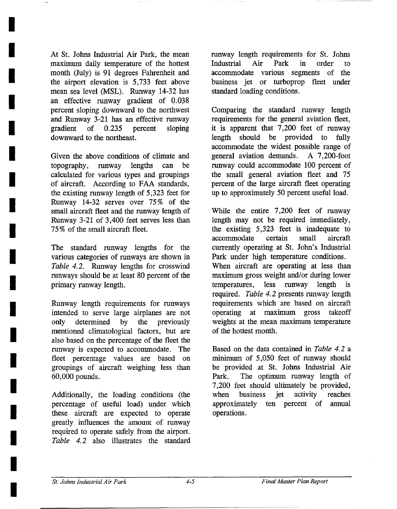At St. Johns Industrial Air Park, the mean maximum daily temperature of the hottest month (July) is 91 degrees Fahrenheit and the airport elevation is 5,733 feet above mean sea level (MSL). Runway 14-32 has an effective runway gradient of 0.038 percent sloping downward to the northwest and Runway 3-21 has an effective runway gradient of 0.235 percent sloping downward to the northeast.

**I** 

**I** 

**I** 

**I** 

**I** 

**I** 

**I** 

**I** 

**I** 

**I** 

**I** 

**I** 

**I** 

**I** 

**I** 

**I** 

**I** 

**I** 

**I** 

Given the above conditions of climate and topography, runway lengths can be calculated for various types and groupings of aircraft. According to FAA standards, the existing runway length of 5,323 feet for Runway 14-32 serves over 75% of the small aircraft fleet and the runway length of Runway 3-21 of 3,400 feet serves less than 75 % of the small aircraft fleet.

The standard runway lengths for the various categories of runways are shown in *Table 4.2.* Runway lengths for crosswind runways should be at least 80 percent of the primary runway length.

Runway length requirements for runways intended to serve large airplanes are not only determined by the previously mentioned climatological factors, but are also based on the percentage of the fleet the runway is expected to accommodate. The fleet percentage values are based on groupings of aircraft Weighing less than 60,000 pounds.

Additionally, the loading conditions (the percentage of useful load) under which these aircraft are expected to operate greatly influences the amount of runway required to operate safely from the airport. *Table 4.2* also illustrates the standard runway length requirements for St. Johns Industrial Air Park in order to accommodate various segments of the business jet or turboprop fleet under standard loading conditions.

Comparing the standard runway length requirements for the general aviation fleet, it is apparent that 7,200 feet of runway length should be provided to fully accommodate the widest possible range of general aviation demands. A 7,200-foot runway could accommodate 100 percent of the small general aviation fleet and 75 percent of the large aircraft fleet operating up to approximately 50 percent useful load.

While the entire 7,200 feet of runway length may not be required immediately, the existing 5,323 feet is inadequate to accommodate certain small aircraft currently operating at St. John's Industrial Park under high temperature conditions. When aircraft are operating at less than maximum gross weight and/or during lower temperatures, less runway length is required. *Table 4.2* presents runway length requirements which are based on aircraft operating at maximum gross takeoff weights at the mean maximum temperature of the hottest month.

Based on the data contained in *Table 4.2 a*  minimum of 5,050 feet of runway should be provided at St. Johns Industrial Air Park. The optimum runway length of 7,200 feet should ultimately be provided, when business jet activity reaches approximately ten percent of annual operations.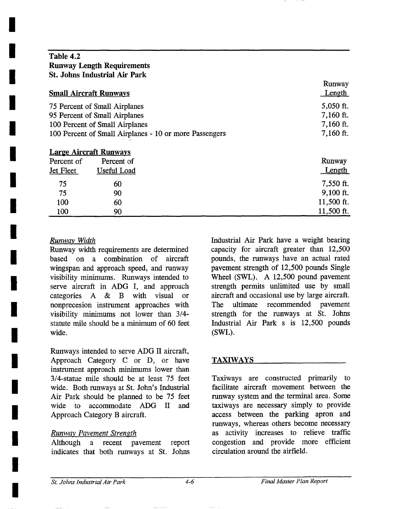#### **I Table 4.2 Runway Length Requirements St. Johns Industrial Air Park**

**I** 

**I** 

**I** 

**!** 

**I** 

**!** 

**!** 

**I** 

**I** 

**i** 

**I** 

**I** 

**!** 

**I** 

**I** 

**I** 

**!** 

*I* 

|                                                        | <b>Small Aircraft Runways</b>                              | Runway<br><u>Length</u> |
|--------------------------------------------------------|------------------------------------------------------------|-------------------------|
| 75 Percent of Small Airplanes                          | 5,050 ft.                                                  |                         |
|                                                        | 95 Percent of Small Airplanes                              | 7,160 ft.               |
|                                                        | 100 Percent of Small Airplanes                             | 7,160 ft.               |
| 100 Percent of Small Airplanes - 10 or more Passengers | 7,160 ft.                                                  |                         |
| Percent of<br>Jet Fleet                                | <b>Large Aircraft Runways</b><br>Percent of<br>Useful Load | Runway<br>Length        |
| 75                                                     | 60                                                         | 7,550 ft.               |
| 75                                                     | 90                                                         | $9,100$ ft.             |
| 100                                                    | 60                                                         | 11,500 ft.              |
| 100                                                    | 90                                                         | 11,500 ft.              |

#### *Runway Width*

Runway width requirements are determined **based** on a combination of aircraft wingspan and approach speed, and runway visibility minimums. Runways intended to serve aircraft in ADG I, and approach categories A & B with visual or nonprecesion instrument approaches with visibility minimums not lower than 3/4 statute mile should be a minimum of 60 feet wide.

Runways intended to serve ADG II aircraft, Approach Category C or D, or have instrument approach minimums lower than 3/4-statue mile should be at least 75 feet wide. Both runways at St. John's Industrial Air Park should be planned to be 75 feet wide to accommodate ADG II and Approach Category B aircraft.

#### *Runway Pavement Strength*

Although a recent pavement report indicates that both runways at St. Johns Industrial Air Park have a weight bearing capacity for aircraft greater than 12,500 pounds, the runways have an actual rated pavement strength of 12,500 pounds Single Wheel (SWL). A 12,500 pound pavement strength permits unlimited use by small aircraft and occasional use by large aircraft. The ultimate recommended pavement strength for the runways at St. Johns Industrial Air Park s is 12,500 pounds (SWL).

#### TAXIWAYS

Taxiways are constructed primarily to facilitate aircraft movement between the runway system and the terminal area. Some taxiways are necessary simply to provide access between the parking apron and runways, whereas others become necessary as activity increases to relieve traffic congestion and provide more efficient circulation around the airfield.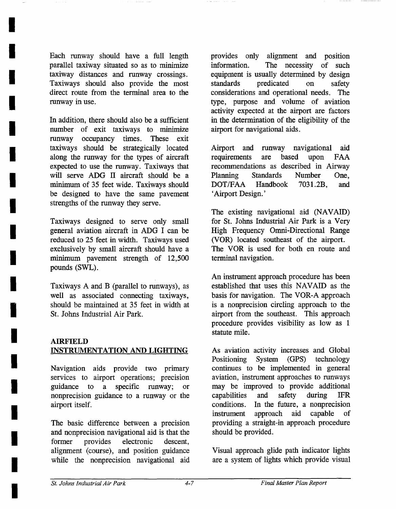Each runway should have a full length parallel taxiway situated so as to minimize taxiway distances and runway crossings. Taxiways should also provide the most direct route from the terminal area to the runway in use.

**I** 

**I** 

**I** 

**I** 

**I** 

**I** 

**I** 

**I** 

**I** 

**I** 

**I** 

**I** 

**I** 

**I** 

**I** 

**I** 

**I** 

**I** 

**I** 

In addition, there should also be a sufficient number of exit taxiways to minimize runway occupancy times. These exit taxiways should be strategically located along the runway for the types of aircraft expected to use the runway. Taxiways that will serve ADG II aircraft should be a minimum of 35 feet wide. Taxiways should be designed to have the same pavement strengths of the runway they serve.

Taxiways designed to serve only small general aviation aircraft in ADG I can be reduced to 25 feet in width. Taxiways used exclusively by small aircraft should have a minimum pavement strength of 12,500 pounds (SWL).

Taxiways A and B (parallel to runways), as well as associated connecting taxiways, should be maintained at 35 feet in width at St. Johns Industrial Air Park.

#### AIRFIELD INSTRUMENTATION AND LIGHTING

Navigation aids provide two primary services to airport operations; precision guidance to a specific runway; or nonprecision guidance to a runway or the airport itself.

The basic difference between a precision and nonprecision navigational aid is that the former provides electronic descent, alignment (course), and position guidance while the nonprecision navigational aid provides only alignment and position information. The necessity of such equipment is usually determined by design standards predicated on safety considerations and operational needs. The type, purpose and volume of aviation activity expected at the airport are factors in the determination of the eligibility of the airport for navigational aids.

Airport and runway navigational aid requirements are based upon FAA recommendations as described in Airway Planning Standards Number One, DOT/FAA Handbook 7031.2B, and 'Airport Design.'

The existing navigational aid (NAVAID) for St. Johns Industrial Air Park is a Very High Frequency Omni-Directional Range (VOR) located southeast of the airport. The VOR is used for both en route and terminal navigation.

An instrument approach procedure has been established that uses this NAVAID as the basis for navigation. The VOR-A approach is a nonprecision circling approach to the airport from the southeast. This approach procedure provides visibility as low as 1 statute mile.

As aviation activity increases and Global Positioning System (GPS) technology continues to be implemented in general aviation, instrument approaches to runways may be improved to provide additional capabilities and safety during IFR conditions. In the future, a nonprecision instrument approach aid capable of providing a straight-in approach procedure should be provided.

Visual approach glide path indicator lights are a system of lights which provide visual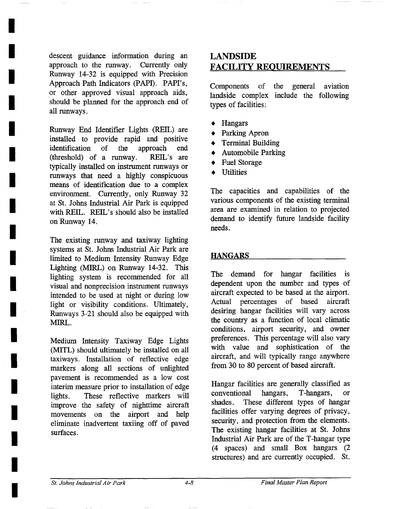descent guidance information during an approach to the runway. Currently only Runway 14-32 is equipped with Precision Approach Path Indicators (PAPI). PAPI's, or other approved visual approach aids, should be planned for the approach end of all runways.

**I** 

**I** 

**I** 

**I** 

**I** 

**I** 

**I** 

**I** 

**I** 

**I** 

**I** 

**I** 

**I** 

**I** 

**I** 

**I** 

**I** 

**!** 

**!** 

Runway End Identifier Lights (REIL) are installed to provide rapid and positive identification of the approach end (threshold) of a runway. REIL's are typically installed on instrument runways or runways that need a highly conspicuous means of identification due to a complex environment. Currently, only Runway 32 at St. Johns Industrial Air Park is equipped with REIL. REIL's should also be installed on Runway 14.

The existing runway and taxiway lighting systems at St. Johns Industrial Air Park are limited to Medium Intensity Runway Edge Lighting (MIRL) on Runway 14-32. This lighting system is recommended for all visual and nonprecision instrument runways intended to be used at night or during low light or visibility conditions. Ultimately, Runways 3-21 should also be equipped with MIRL.

Medium Intensity Taxiway Edge Lights (MITL) should ultimately be installed on all taxiways. Installation of reflective edge markers along all sections of unlighted pavement is recommended as a low cost interim measure prior to installation of edge lights. These reflective markers will improve the safety of nighttime aircraft movements on the airport and help eliminate inadvertent taxiing off of paved surfaces.

### **LANDSIDE**  FACILITY REQUIREMENTS

Components of the general landside complex include the following types of facilities: aviation

- Hangars
- Parking Apron
- Terminal Building
- Automobile Parking
- Fuel Storage
- Utilities

The capacities and capabilities of the various components of the existing terminal area are examined in relation to projected demand to identify future landside facility needs.

#### **HANGARS**

The demand for hangar facilities is dependent upon the number and types of aircraft expected to be based at the airport. Actual percentages of based aircraft desiring hangar facilities will vary across the country as a function of local climatic conditions, airport security, and owner preferences. This percentage will also vary with value and sophistication of the aircraft, and will typically range anywhere from 30 to 80 percent of based aircraft.

Hangar facilities are generally classified as conventional hangars, T-hangars, or shades. These different types of hangar facilities offer varying degrees of privacy, security, and protection from the elements. The existing hangar facilities at St. Johns Industrial Air Park are of the T-hangar type (4 spaces) and small Box hangars (2 structures) and are currently occupied. St.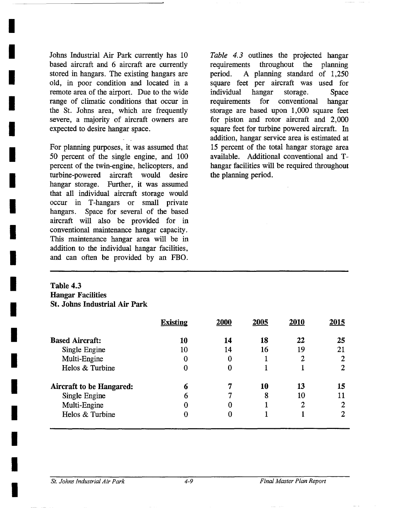Johns Industrial Air Park currently has 10 based aircraft and 6 aircraft are currently stored in hangars. The existing hangars are old, in poor condition and located in a remote area of the airport. Due to the wide range of climatic conditions that occur in the St. Johns area, which are frequently severe, a majority of aircraft owners are expected to desire hangar space.

**I** 

**I** 

**I** 

**I** 

**I** 

**I** 

**I** 

**I** 

**I** 

**I** 

**I** 

**I** 

**I** 

**I** 

**I** 

**I** 

**I** 

**i** 

For planning purposes, it was assumed that 50 percent of the single engine, and 100 percent of the twin-engine, helicopters, and turbine-powered aircraft would desire hangar storage. Further, it was assumed that all individual aircraft storage would occur in T-hangars or small private hangars. Space for several of the based aircraft will also be provided for in conventional maintenance hangar capacity. This maintenance hangar area will be in addition to the individual hangar facilities, and can often be provided by an FBO.

*Table 4.3* outlines the projected hangar requirements throughout the planning period. A planning standard of 1,250 square feet per aircraft was used for individual hangar storage. Space requirements for conventional hangar storage are based upon 1,000 square feet for piston and rotor aircraft and 2,000 square feet for turbine powered aircraft. In addition, hangar service area is estimated at 15 percent of the total hangar storage area available. Additional conventional and Thangar facilities will be required throughout the planning period.

#### **Table 4.3 Hangar Facilities St. Johns Industrial Air Park**

|                                 | <b>Existing</b> | 2000 | 2005 | 2010 | 2015 |
|---------------------------------|-----------------|------|------|------|------|
| <b>Based Aircraft:</b>          | 10              | 14   | 18   | 22   | 25   |
| Single Engine                   | 10              | 14   | 16   | 19   | 21   |
| Multi-Engine                    | 0               | 0    |      |      | 2    |
| Helos & Turbine                 | 0               | 0    |      |      | 2    |
| <b>Aircraft to be Hangared:</b> | 6               |      | 10   | 13   | 15   |
| Single Engine                   | 6               |      | 8    | 10   | 11   |
| Multi-Engine                    | $\bf{0}$        | 0    |      | 2    | 2    |
| Helos & Turbine                 | 0               | O    |      |      |      |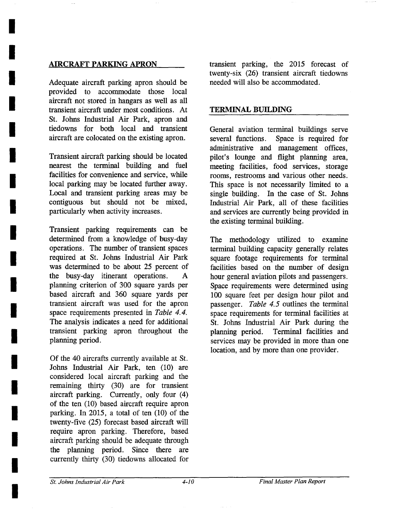#### AIRCRAFT PARKING APRON

**I** 

**I** 

**!** 

**I** 

**I** 

**I** 

**I** 

**I** 

**I** 

**!** 

**I** 

**I** 

**i** 

**l** 

**I** 

**I** 

**I** 

**I** 

**I** 

Adequate aircraft parking apron should be provided to accommodate those local aircraft not stored in hangars as well as all transient aircraft under most conditions. At St. Johns Industrial Air Park, apron and tiedowns for both local and transient aircraft are colocated on the existing apron.

Transient aircraft parking should be located nearest the terminal building and fuel facilities for convenience and service, while local parking may be located further away. Local and transient parking areas may be contiguous but should not be mixed, particularly when activity increases.

Transient parking requirements can be determined from a knowledge of busy-day operations. The number of transient spaces required at St. Johns Industrial Air Park was determined to be about 25 percent of the busy-day itinerant operations. A planning criterion of 300 square yards per based aircraft and 360 square yards per transient aircraft was used for the apron space requirements presented in *Table 4.4.*  The analysis indicates a need for additional transient parking apron throughout the planning period.

Of the 40 aircrafts currently available at St. Johns Industrial Air Park, ten (10) are considered local aircraft parking and the remaining thirty (30) are for transient aircraft parking. Currently, only four (4) of the ten (10) based aircraft require apron parking. In 2015, a total of ten (10) of the twenty-five (25) forecast based aircraft will require apron parking. Therefore, based aircraft parking should be adequate through the planning period. Since there are currently thirty (30) tiedowns allocated for

transient parking, the 2015 forecast of twenty-six (26) transient aircraft tiedowns needed will also be accommodated.

#### TERMINAL BUILDING

General aviation terminal buildings serve several functions. Space is required for administrative and management offices, pilot's lounge and flight planning area, meeting facilities, food services, storage rooms, restrooms and various other needs. This space is not necessarily limited to a single building. In the case of St. Johns Industrial Air Park, all of these facilities and services are currently being provided in the existing terminal building.

The methodology utilized to examine terminal building capacity generally relates square footage requirements for terminal facilities based on the number of design hour general aviation pilots and passengers. Space requirements were determined using 100 square feet per design hour pilot and passenger. *Table 4.5* outlines the terminal space requirements for terminal facilities at St. Johns Industrial Air Park during the planning period. Terminal facilities and services may be provided in more than one location, and by more than one provider.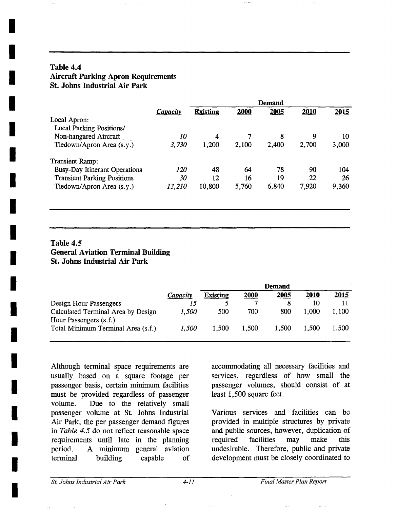#### **Table 4.4 Aircraft Parking Apron Requirements St. Johns Industrial Air Park**

**I** 

**I** 

**i** 

**I** 

**I** 

**I** 

**I** 

**I** 

**I** 

**i** 

**I** 

**I** 

**I** 

**I** 

**i** 

**I** 

**I** 

**I** 

*I* 

|                                      |                        | <b>Demand</b>   |       |       |       |       |
|--------------------------------------|------------------------|-----------------|-------|-------|-------|-------|
|                                      | <i><b>Capacity</b></i> | <b>Existing</b> | 2000  | 2005  | 2010  | 2015  |
| Local Apron:                         |                        |                 |       |       |       |       |
| <b>Local Parking Positions/</b>      |                        |                 |       |       |       |       |
| Non-hangared Aircraft                | 10                     | 4               | 7     | 8     | 9     | 10    |
| Tiedown/Apron Area (s.y.)            | 3,730                  | 1,200           | 2,100 | 2,400 | 2,700 | 3,000 |
| <b>Transient Ramp:</b>               |                        |                 |       |       |       |       |
| <b>Busy-Day Itinerant Operations</b> | <i>120</i>             | 48              | 64    | 78    | 90    | 104   |
| <b>Transient Parking Positions</b>   | 30                     | 12              | 16    | 19    | 22    | 26    |
| Tiedown/Apron Area (s.y.)            | 13,210                 | 10,800          | 5,760 | 6,840 | 7,920 | 9,360 |
|                                      |                        |                 |       |       |       |       |
|                                      |                        |                 |       |       |       |       |

#### **Table 4.5 General Aviation Terminal Building St. Johns Industrial Air Park**

|                                                              |          | <b>Demand</b>   |       |       |       |              |  |
|--------------------------------------------------------------|----------|-----------------|-------|-------|-------|--------------|--|
|                                                              | Capacity | <b>Existing</b> | 2000  | 2005  | 2010  | <u> 2015</u> |  |
| Design Hour Passengers                                       |          |                 |       |       | 10    |              |  |
| Calculated Terminal Area by Design<br>Hour Passengers (s.f.) | 1,500    | 500             | 700   | 800   | 1.000 | 1,100        |  |
| Total Minimum Terminal Area (s.f.)                           | 1.500    | 1.500           | 1,500 | 1,500 | 1.500 | 1,500        |  |

Although terminal space requirements are usually based on a square footage per passenger basis, certain minimum facilities must be provided regardless of passenger volume. Due to the relatively small passenger volume at St. Johns Industrial Air Park, the per passenger demand figures in *Table 4.5* do not reflect reasonable space requirements until late in the planning period. A minimum general aviation terminal building capable of accommodating all necessary facilities and services, regardless of how small the passenger volumes, should consist of at least 1,500 square feet.

Various services and facilities can be provided in multiple structures by private and public sources, however, duplication of required facilities may make this undesirable. Therefore, public and private development must be closely coordinated to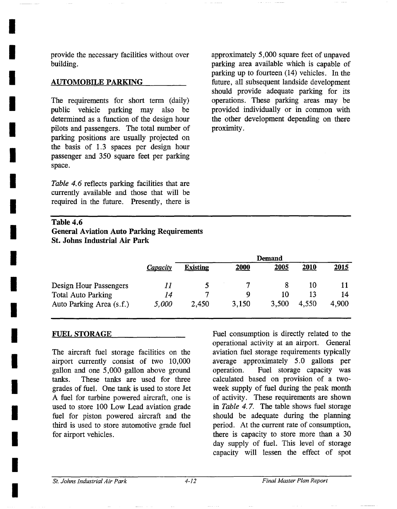provide the necessary facilities without over building.

#### **AUTOMOBILE PARKING**

**I** 

**I** 

**I** 

**I** 

**I** 

**I** 

**I** 

**I** 

**I** 

**I** 

**I** 

**I** 

**I** 

**I** 

**I** 

**I** 

**I** 

**I** 

*I* 

The requirements for short term (daily) public vehicle parking may also be determined as a function of the design hour pilots and passengers. The total number of parking positions are usually projected on the basis of 1.3 spaces per design hour passenger and 350 square feet per parking space.

*Table 4. 6* reflects parking facilities that are currently available and those that will be required in the future. Presently, there is approximately 5,000 square feet of unpaved parking area available which is capable of parking up to fourteen (14) vehicles. In the future, all subsequent landside development should provide adequate parking for its operations. These parking areas may be provided individually or in common with the other development depending on there proximity.

#### **Table 4.6 General Aviation Auto Parking Requirements St. Johns Industrial Air Park**

|                           | <b>Demand</b> |                 |       |       |       |       |  |
|---------------------------|---------------|-----------------|-------|-------|-------|-------|--|
|                           | Capacity      | <b>Existing</b> | 2000  | 2005  | 2010  | 2015  |  |
| Design Hour Passengers    |               |                 |       |       | 10    |       |  |
| <b>Total Auto Parking</b> | 14            | ~               | Q     | 10    |       | 14    |  |
| Auto Parking Area (s.f.)  | 5,000         | 2,450           | 3,150 | 3,500 | 4.550 | 4,900 |  |

#### FUEL STORAGE

The aircraft fuel storage facilities on the airport currently consist of two 10,000 gallon and one 5,000 gallon above ground tanks. These tanks are used for three grades of fuel. One tank is used to store Jet A fuel for turbine powered aircraft, one is used to store 100 Low Lead aviation grade fuel for piston powered aircraft and the third is used to store automotive grade fuel for airport vehicles.

Fuel consumption is directly related to the operational activity at an airport. General aviation fuel storage requirements typically average approximately 5.0 gallons per operation. Fuel storage capacity was calculated based on provision of a twoweek supply of fuel during the peak month of activity. These requirements are shown in *Table* 4. 7. The table shows fuel storage should be adequate during the planning period. At the current rate of consumption, there is capacity to store more than a 30 day supply of fuel. This level of storage capacity will lessen the effect of spot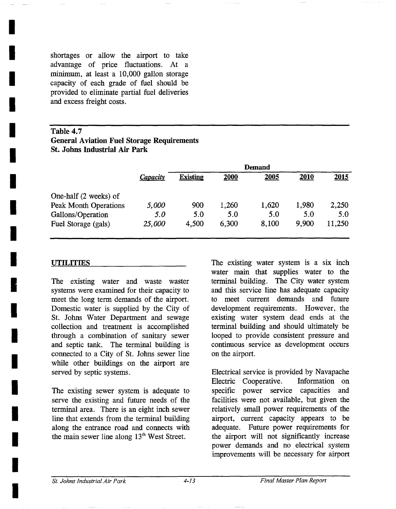shortages or allow the airport to take advantage of price fluctuations. At a minimum, at least a 10,000 gallon storage capacity of each grade of fuel should be provided to eliminate partial fuel deliveries and excess freight costs.

#### Table 4.7 **General Aviation Fuel Storage Requirements St. Johns Industrial Air Park**

|                       | <b>Demand</b> |                 |       |       |       |        |  |
|-----------------------|---------------|-----------------|-------|-------|-------|--------|--|
|                       | Capacity      | <b>Existing</b> | 2000  | 2005  | 2010  | 2015   |  |
| One-half (2 weeks) of |               |                 |       |       |       |        |  |
| Peak Month Operations | 5,000         | 900             | 1,260 | 1,620 | 1,980 | 2,250  |  |
| Gallons/Operation     | 5.0           | 5.0             | 5.0   | 5.0   | 5.0   | 5.0    |  |
| Fuel Storage (gals)   | 25,000        | 4,500           | 6,300 | 8,100 | 9.900 | 11,250 |  |
|                       |               |                 |       |       |       |        |  |

#### **UTILITIES**

**I** 

**I** 

**I** 

**I** 

**I** 

**I** 

**I** 

**I** 

**I** 

**I** 

**I** 

**I** 

**I** 

**I** 

**I** 

**I** 

**I** 

**I** 

*I* 

The existing water and waste waster systems were examined for their capacity to meet the long term demands of the airport. Domestic water is supplied by the City of St. Johns Water Department and sewage collection and treatment is accomplished through a combination of sanitary sewer and septic tank. The terminal building is connected to a City of St. Johns sewer line while other buildings on the airport are served by septic systems.

The existing sewer system is adequate to serve the existing and future needs of the terminal area. There is an eight inch sewer line that extends from the terminal building along the entrance road and connects with the main sewer line along  $13<sup>th</sup>$  West Street.

The existing water system is a six inch water main that supplies water to the terminal building. The City water system and this service line has adequate capacity to meet current demands and future development requirements. However, the existing water system dead ends at the terminal building and should ultimately be looped to provide consistent pressure and continuous service as development occurs on the airport.

Electrical service is provided by Navapache Electric Cooperative. Information on specific power service capacities and facilities were not available, but given the relatively small power requirements of the airport, current capacity appears to be adequate. Future power requirements for the airport will not significantly increase power demands and no electrical system improvements will be necessary for airport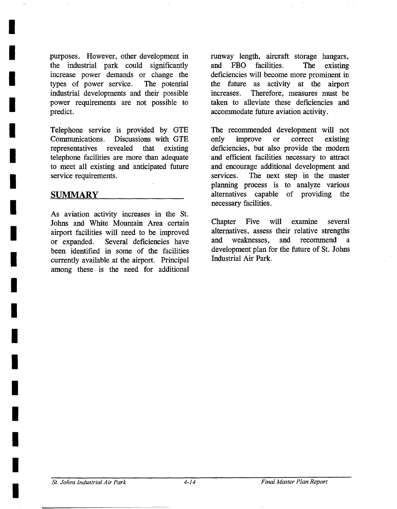purposes. However, other development in the industrial park could significantly increase power demands or change the types of power service. The potential industrial developments and their possible power requirements are not possible to predict.

Telephone service is provided by GTE Communications. Discussions with GTE representatives revealed that existing telephone facilities are more than adequate to meet all existing and anticipated future service requirements.

#### SUMMARY

**!** 

**I** 

**I** 

**I** 

**I** 

**I** 

**I** 

**I** 

**I** 

**I** 

**I** 

**i** 

**i** 

**I** 

**I** 

**I** 

**I** 

**I** 

As aviation activity increases in the St. Johns and White Mountain Area certain airport facilities will need to be improved or expanded. Several deficiencies have been identified in some of the facilities currently available at the airport. Principal among these is the need for additional runway length, aircraft storage hangars, and FBO facilities. The existing deficiencies will become more prominent in the future as activity at the airport increases. Therefore, measures must be taken to alleviate these deficiencies and accommodate future aviation activity.

The recommended development will not only improve or correct existing deficiencies, but also provide the modern and efficient facilities necessary to attract and encourage additional development and services. The next step in the master planning process is to analyze various alternatives capable of providing the necessary facilities.

Chapter Five will examine several alternatives, assess their relative strengths and weaknesses, and recommend development plan for the future of St. Johns Industrial Air Park.